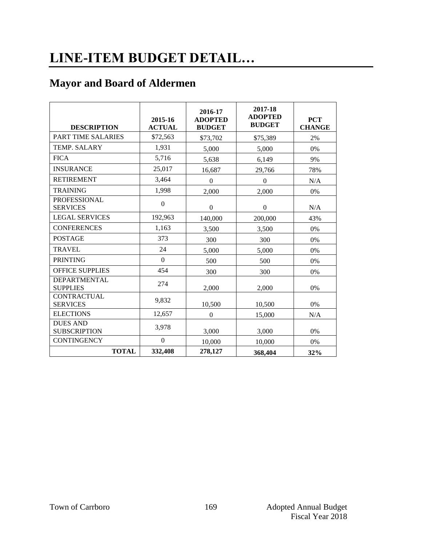# **LINE-ITEM BUDGET DETAIL…**

### **Mayor and Board of Aldermen**

| <b>DESCRIPTION</b>                     | 2015-16<br><b>ACTUAL</b> | 2016-17<br><b>ADOPTED</b><br><b>BUDGET</b> | 2017-18<br><b>ADOPTED</b><br><b>BUDGET</b> | <b>PCT</b><br><b>CHANGE</b> |
|----------------------------------------|--------------------------|--------------------------------------------|--------------------------------------------|-----------------------------|
| PART TIME SALARIES                     | \$72,563                 | \$73,702                                   | \$75,389                                   | 2%                          |
| <b>TEMP. SALARY</b>                    | 1,931                    | 5,000                                      | 5,000                                      | 0%                          |
| <b>FICA</b>                            | 5,716                    | 5,638                                      | 6,149                                      | 9%                          |
| <b>INSURANCE</b>                       | 25,017                   | 16,687                                     | 29,766                                     | 78%                         |
| <b>RETIREMENT</b>                      | 3,464                    | $\Omega$                                   | $\theta$                                   | N/A                         |
| <b>TRAINING</b>                        | 1,998                    | 2,000                                      | 2,000                                      | 0%                          |
| <b>PROFESSIONAL</b><br><b>SERVICES</b> | $\boldsymbol{0}$         | $\boldsymbol{0}$                           | $\Omega$                                   | N/A                         |
| <b>LEGAL SERVICES</b>                  | 192,963                  | 140,000                                    | 200,000                                    | 43%                         |
| <b>CONFERENCES</b>                     | 1,163                    | 3,500                                      | 3,500                                      | 0%                          |
| <b>POSTAGE</b>                         | 373                      | 300                                        | 300                                        | 0%                          |
| <b>TRAVEL</b>                          | 24                       | 5,000                                      | 5,000                                      | 0%                          |
| <b>PRINTING</b>                        | $\Omega$                 | 500                                        | 500                                        | 0%                          |
| <b>OFFICE SUPPLIES</b>                 | 454                      | 300                                        | 300                                        | 0%                          |
| <b>DEPARTMENTAL</b><br><b>SUPPLIES</b> | 274                      | 2,000                                      | 2,000                                      | 0%                          |
| <b>CONTRACTUAL</b><br><b>SERVICES</b>  | 9,832                    | 10,500                                     | 10,500                                     | $0\%$                       |
| <b>ELECTIONS</b>                       | 12,657                   | $\Omega$                                   | 15,000                                     | N/A                         |
| <b>DUES AND</b><br><b>SUBSCRIPTION</b> | 3,978                    | 3,000                                      | 3,000                                      | 0%                          |
| <b>CONTINGENCY</b>                     | $\boldsymbol{0}$         | 10,000                                     | 10,000                                     | 0%                          |
| <b>TOTAL</b>                           | 332,408                  | 278,127                                    | 368,404                                    | 32%                         |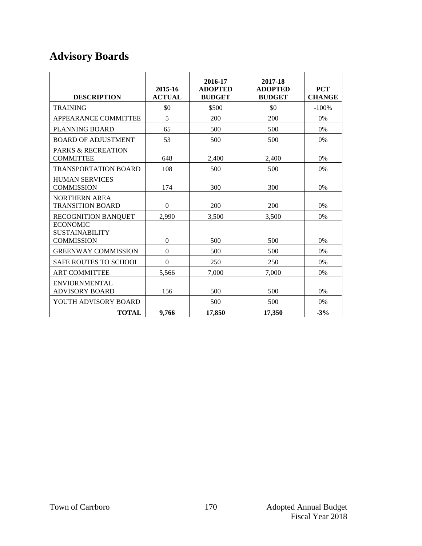# **Advisory Boards**

| <b>DESCRIPTION</b>                                            | 2015-16<br><b>ACTUAL</b> | 2016-17<br><b>ADOPTED</b><br><b>BUDGET</b> | 2017-18<br><b>ADOPTED</b><br><b>BUDGET</b> | <b>PCT</b><br><b>CHANGE</b> |
|---------------------------------------------------------------|--------------------------|--------------------------------------------|--------------------------------------------|-----------------------------|
| <b>TRAINING</b>                                               | \$0                      | \$500                                      | \$0                                        | $-100%$                     |
| APPEARANCE COMMITTEE                                          | 5                        | 200                                        | 200                                        | 0%                          |
| PLANNING BOARD                                                | 65                       | 500                                        | 500                                        | 0%                          |
| <b>BOARD OF ADJUSTMENT</b>                                    | 53                       | 500                                        | 500                                        | 0%                          |
| <b>PARKS &amp; RECREATION</b><br><b>COMMITTEE</b>             | 648                      | 2,400                                      | 2,400                                      | 0%                          |
| <b>TRANSPORTATION BOARD</b>                                   | 108                      | 500                                        | 500                                        | 0%                          |
| <b>HUMAN SERVICES</b><br><b>COMMISSION</b>                    | 174                      | 300                                        | 300                                        | 0%                          |
| <b>NORTHERN AREA</b><br><b>TRANSITION BOARD</b>               | $\theta$                 | 200                                        | 200                                        | 0%                          |
| <b>RECOGNITION BANQUET</b>                                    | 2,990                    | 3,500                                      | 3,500                                      | 0%                          |
| <b>ECONOMIC</b><br><b>SUSTAINABILITY</b><br><b>COMMISSION</b> | $\overline{0}$           | 500                                        | 500                                        | 0%                          |
| <b>GREENWAY COMMISSION</b>                                    | $\theta$                 | 500                                        | 500                                        | 0%                          |
| <b>SAFE ROUTES TO SCHOOL</b>                                  | $\boldsymbol{0}$         | 250                                        | 250                                        | 0%                          |
| <b>ART COMMITTEE</b>                                          | 5,566                    | 7,000                                      | 7,000                                      | 0%                          |
| <b>ENVIORNMENTAL</b><br><b>ADVISORY BOARD</b>                 | 156                      | 500                                        | 500                                        | 0%                          |
| YOUTH ADVISORY BOARD                                          |                          | 500                                        | 500                                        | 0%                          |
| <b>TOTAL</b>                                                  | 9,766                    | 17,850                                     | 17,350                                     | $-3%$                       |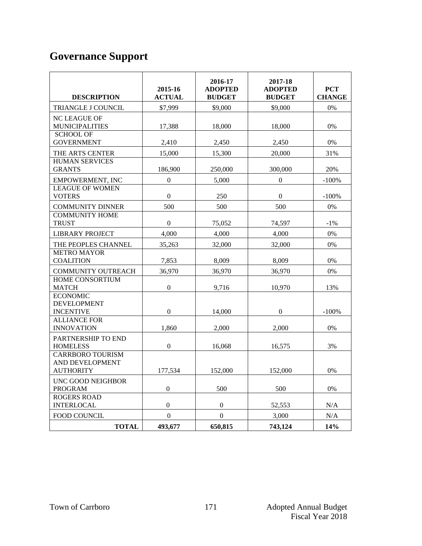# **Governance Support**

| <b>DESCRIPTION</b>                                             | 2015-16<br><b>ACTUAL</b> | 2016-17<br><b>ADOPTED</b><br><b>BUDGET</b> | 2017-18<br><b>ADOPTED</b><br><b>BUDGET</b> | <b>PCT</b><br><b>CHANGE</b> |
|----------------------------------------------------------------|--------------------------|--------------------------------------------|--------------------------------------------|-----------------------------|
| TRIANGLE J COUNCIL                                             | \$7,999                  | \$9,000                                    | \$9,000                                    | 0%                          |
| <b>NC LEAGUE OF</b><br><b>MUNICIPALITIES</b>                   | 17,388                   | 18,000                                     | 18,000                                     | 0%                          |
| <b>SCHOOL OF</b><br><b>GOVERNMENT</b>                          | 2,410                    | 2,450                                      | 2,450                                      | 0%                          |
| THE ARTS CENTER                                                | 15,000                   | 15,300                                     | 20,000                                     | 31%                         |
| <b>HUMAN SERVICES</b><br><b>GRANTS</b>                         | 186,900                  | 250,000                                    | 300,000                                    | 20%                         |
| EMPOWERMENT, INC                                               | $\overline{0}$           | 5.000                                      | $\Omega$                                   | $-100%$                     |
| <b>LEAGUE OF WOMEN</b><br><b>VOTERS</b>                        | $\boldsymbol{0}$         | 250                                        | $\boldsymbol{0}$                           | $-100%$                     |
| <b>COMMUNITY DINNER</b>                                        | 500                      | 500                                        | 500                                        | $0\%$                       |
| <b>COMMUNITY HOME</b><br><b>TRUST</b>                          | $\boldsymbol{0}$         | 75,052                                     | 74,597                                     | $-1\%$                      |
| <b>LIBRARY PROJECT</b>                                         | 4,000                    | 4,000                                      | 4,000                                      | $0\%$                       |
| THE PEOPLES CHANNEL                                            | 35.263                   | 32,000                                     | 32,000                                     | $0\%$                       |
| <b>METRO MAYOR</b><br><b>COALITION</b>                         | 7,853                    | 8,009                                      | 8,009                                      | 0%                          |
| <b>COMMUNITY OUTREACH</b>                                      | 36,970                   | 36,970                                     | 36,970                                     | 0%                          |
| HOME CONSORTIUM<br><b>MATCH</b>                                | $\mathbf{0}$             | 9,716                                      | 10.970                                     | 13%                         |
| <b>ECONOMIC</b><br><b>DEVELOPMENT</b><br><b>INCENTIVE</b>      | $\boldsymbol{0}$         | 14,000                                     | $\boldsymbol{0}$                           | $-100%$                     |
| <b>ALLIANCE FOR</b><br><b>INNOVATION</b>                       | 1,860                    | 2,000                                      | 2,000                                      | 0%                          |
| PARTNERSHIP TO END<br><b>HOMELESS</b>                          | $\overline{0}$           | 16.068                                     | 16,575                                     | 3%                          |
| <b>CARRBORO TOURISM</b><br>AND DEVELOPMENT<br><b>AUTHORITY</b> | 177,534                  | 152,000                                    | 152,000                                    | 0%                          |
| UNC GOOD NEIGHBOR<br><b>PROGRAM</b>                            | $\boldsymbol{0}$         | 500                                        | 500                                        | 0%                          |
| <b>ROGERS ROAD</b><br><b>INTERLOCAL</b>                        | $\mathbf{0}$             | $\mathbf{0}$                               | 52,553                                     | N/A                         |
| <b>FOOD COUNCIL</b>                                            | $\boldsymbol{0}$         | $\boldsymbol{0}$                           | 3,000                                      | N/A                         |
| <b>TOTAL</b>                                                   | 493,677                  | 650,815                                    | 743,124                                    | 14%                         |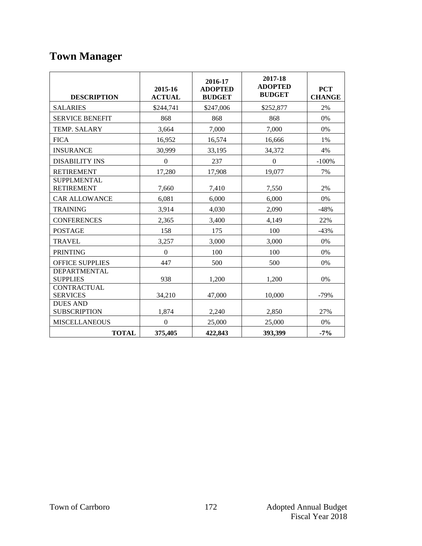# **Town Manager**

| <b>DESCRIPTION</b>                      | 2015-16<br><b>ACTUAL</b> | 2016-17<br><b>ADOPTED</b><br><b>BUDGET</b> | 2017-18<br><b>ADOPTED</b><br><b>BUDGET</b> | <b>PCT</b><br><b>CHANGE</b> |
|-----------------------------------------|--------------------------|--------------------------------------------|--------------------------------------------|-----------------------------|
| <b>SALARIES</b>                         | \$244,741                | \$247,006                                  | \$252,877                                  | 2%                          |
| <b>SERVICE BENEFIT</b>                  | 868                      | 868                                        | 868                                        | 0%                          |
| TEMP. SALARY                            | 3,664                    | 7,000                                      | 7.000                                      | 0%                          |
| <b>FICA</b>                             | 16,952                   | 16,574                                     | 16,666                                     | 1%                          |
| <b>INSURANCE</b>                        | 30,999                   | 33,195                                     | 34,372                                     | 4%                          |
| <b>DISABILITY INS</b>                   | $\Omega$                 | 237                                        | $\boldsymbol{0}$                           | $-100%$                     |
| <b>RETIREMENT</b>                       | 17,280                   | 17,908                                     | 19,077                                     | 7%                          |
| <b>SUPPLMENTAL</b><br><b>RETIREMENT</b> | 7,660                    | 7,410                                      | 7,550                                      | 2%                          |
| <b>CAR ALLOWANCE</b>                    | 6,081                    | 6,000                                      | 6,000                                      | 0%                          |
| <b>TRAINING</b>                         | 3,914                    | 4,030                                      | 2,090                                      | $-48%$                      |
| <b>CONFERENCES</b>                      | 2,365                    | 3,400                                      | 4,149                                      | 22%                         |
| <b>POSTAGE</b>                          | 158                      | 175                                        | 100                                        | $-43%$                      |
| <b>TRAVEL</b>                           | 3,257                    | 3,000                                      | 3,000                                      | 0%                          |
| <b>PRINTING</b>                         | $\overline{0}$           | 100                                        | 100                                        | 0%                          |
| <b>OFFICE SUPPLIES</b>                  | 447                      | 500                                        | 500                                        | 0%                          |
| DEPARTMENTAL<br><b>SUPPLIES</b>         | 938                      | 1,200                                      | 1,200                                      | 0%                          |
| <b>CONTRACTUAL</b><br><b>SERVICES</b>   | 34,210                   | 47,000                                     | 10,000                                     | $-79%$                      |
| <b>DUES AND</b><br><b>SUBSCRIPTION</b>  | 1,874                    | 2,240                                      | 2,850                                      | 27%                         |
| <b>MISCELLANEOUS</b>                    | $\mathbf{0}$             | 25,000                                     | 25,000                                     | 0%                          |
| <b>TOTAL</b>                            | 375,405                  | 422,843                                    | 393,399                                    | $-7%$                       |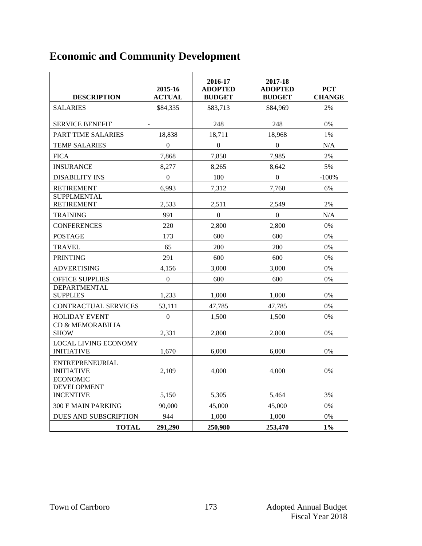# **Economic and Community Development**

| <b>DESCRIPTION</b>                                      | 2015-16<br><b>ACTUAL</b> | 2016-17<br><b>ADOPTED</b><br><b>BUDGET</b> | 2017-18<br><b>ADOPTED</b><br><b>BUDGET</b> | <b>PCT</b><br><b>CHANGE</b> |
|---------------------------------------------------------|--------------------------|--------------------------------------------|--------------------------------------------|-----------------------------|
| <b>SALARIES</b>                                         | \$84,335                 | \$83,713                                   | \$84,969                                   | 2%                          |
| <b>SERVICE BENEFIT</b>                                  | $\overline{\phantom{a}}$ | 248                                        | 248                                        | 0%                          |
| PART TIME SALARIES                                      | 18,838                   | 18,711                                     | 18,968                                     | 1%                          |
| <b>TEMP SALARIES</b>                                    | $\Omega$                 | $\overline{0}$                             | $\Omega$                                   | N/A                         |
| <b>FICA</b>                                             | 7,868                    | 7,850                                      | 7,985                                      | 2%                          |
| <b>INSURANCE</b>                                        | 8,277                    | 8,265                                      | 8,642                                      | 5%                          |
| <b>DISABILITY INS</b>                                   | $\boldsymbol{0}$         | 180                                        | $\boldsymbol{0}$                           | $-100%$                     |
| <b>RETIREMENT</b>                                       | 6,993                    | 7,312                                      | 7,760                                      | 6%                          |
| <b>SUPPLMENTAL</b><br><b>RETIREMENT</b>                 | 2,533                    | 2,511                                      | 2,549                                      | 2%                          |
| <b>TRAINING</b>                                         | 991                      | $\overline{0}$                             | $\overline{0}$                             | N/A                         |
| <b>CONFERENCES</b>                                      | 220                      | 2,800                                      | 2,800                                      | 0%                          |
| <b>POSTAGE</b>                                          | 173                      | 600                                        | 600                                        | 0%                          |
| <b>TRAVEL</b>                                           | 65                       | 200                                        | 200                                        | 0%                          |
| <b>PRINTING</b>                                         | 291                      | 600                                        | 600                                        | 0%                          |
| <b>ADVERTISING</b>                                      | 4,156                    | 3,000                                      | 3,000                                      | 0%                          |
| <b>OFFICE SUPPLIES</b>                                  | $\mathbf{0}$             | 600                                        | 600                                        | 0%                          |
| <b>DEPARTMENTAL</b><br><b>SUPPLIES</b>                  | 1,233                    | 1,000                                      | 1,000                                      | 0%                          |
| <b>CONTRACTUAL SERVICES</b>                             | 53,111                   | 47,785                                     | 47,785                                     | 0%                          |
| <b>HOLIDAY EVENT</b>                                    | $\boldsymbol{0}$         | 1,500                                      | 1,500                                      | 0%                          |
| <b>CD &amp; MEMORABILIA</b><br><b>SHOW</b>              | 2,331                    | 2,800                                      | 2,800                                      | 0%                          |
| <b>LOCAL LIVING ECONOMY</b><br><b>INITIATIVE</b>        | 1,670                    | 6,000                                      | 6,000                                      | 0%                          |
| ENTREPRENEURIAL<br><b>INITIATIVE</b><br><b>ECONOMIC</b> | 2.109                    | 4.000                                      | 4.000                                      | 0%                          |
| <b>DEVELOPMENT</b><br><b>INCENTIVE</b>                  | 5,150                    | 5,305                                      | 5,464                                      | 3%                          |
| 300 E MAIN PARKING                                      | 90.000                   | 45,000                                     | 45,000                                     | 0%                          |
| DUES AND SUBSCRIPTION                                   | 944                      | 1,000                                      | 1,000                                      | 0%                          |
| <b>TOTAL</b>                                            | 291,290                  | 250,980                                    | 253,470                                    | $1\%$                       |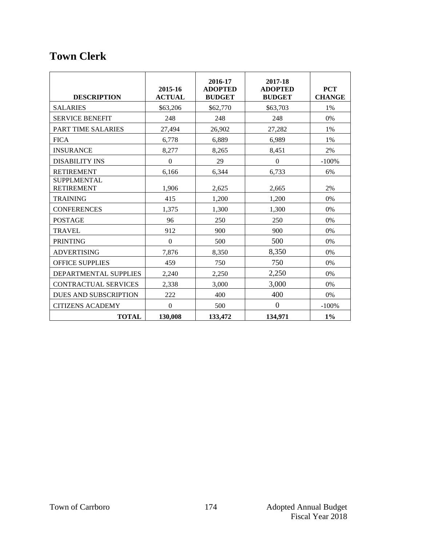### **Town Clerk**

| <b>DESCRIPTION</b>                      | 2015-16<br><b>ACTUAL</b> | 2016-17<br><b>ADOPTED</b><br><b>BUDGET</b> | 2017-18<br><b>ADOPTED</b><br><b>BUDGET</b> | <b>PCT</b><br><b>CHANGE</b> |
|-----------------------------------------|--------------------------|--------------------------------------------|--------------------------------------------|-----------------------------|
| <b>SALARIES</b>                         | \$63,206                 | \$62,770                                   | \$63,703                                   | 1%                          |
| <b>SERVICE BENEFIT</b>                  | 248                      | 248                                        | 248                                        | 0%                          |
| PART TIME SALARIES                      | 27,494                   | 26,902                                     | 27,282                                     | 1%                          |
| <b>FICA</b>                             | 6,778                    | 6.889                                      | 6,989                                      | 1%                          |
| <b>INSURANCE</b>                        | 8,277                    | 8,265                                      | 8,451                                      | 2%                          |
| <b>DISABILITY INS</b>                   | $\Omega$                 | 29                                         | $\Omega$                                   | $-100%$                     |
| <b>RETIREMENT</b>                       | 6,166                    | 6,344                                      | 6,733                                      | 6%                          |
| <b>SUPPLMENTAL</b><br><b>RETIREMENT</b> | 1,906                    | 2,625                                      | 2,665                                      | 2%                          |
| <b>TRAINING</b>                         | 415                      | 1,200                                      | 1,200                                      | 0%                          |
| <b>CONFERENCES</b>                      | 1,375                    | 1,300                                      | 1,300                                      | 0%                          |
| <b>POSTAGE</b>                          | 96                       | 250                                        | 250                                        | 0%                          |
| <b>TRAVEL</b>                           | 912                      | 900                                        | 900                                        | 0%                          |
| <b>PRINTING</b>                         | $\Omega$                 | 500                                        | 500                                        | 0%                          |
| <b>ADVERTISING</b>                      | 7,876                    | 8,350                                      | 8,350                                      | 0%                          |
| <b>OFFICE SUPPLIES</b>                  | 459                      | 750                                        | 750                                        | 0%                          |
| DEPARTMENTAL SUPPLIES                   | 2,240                    | 2,250                                      | 2,250                                      | 0%                          |
| CONTRACTUAL SERVICES                    | 2,338                    | 3,000                                      | 3,000                                      | 0%                          |
| <b>DUES AND SUBSCRIPTION</b>            | 222                      | 400                                        | 400                                        | 0%                          |
| <b>CITIZENS ACADEMY</b>                 | $\mathbf{0}$             | 500                                        | $\mathbf{0}$                               | $-100%$                     |
| <b>TOTAL</b>                            | 130,008                  | 133,472                                    | 134,971                                    | $1\%$                       |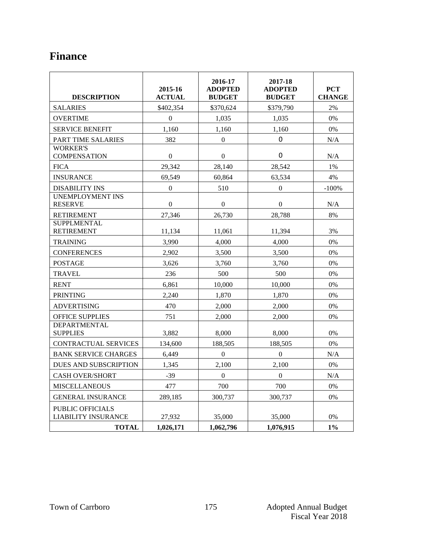### **Finance**

| <b>DESCRIPTION</b>                                                    | 2015-16<br><b>ACTUAL</b> | 2016-17<br><b>ADOPTED</b><br><b>BUDGET</b> | 2017-18<br><b>ADOPTED</b><br><b>BUDGET</b> | <b>PCT</b><br><b>CHANGE</b> |
|-----------------------------------------------------------------------|--------------------------|--------------------------------------------|--------------------------------------------|-----------------------------|
| <b>SALARIES</b>                                                       | \$402,354                | \$370,624                                  | \$379,790                                  | 2%                          |
| <b>OVERTIME</b>                                                       | $\boldsymbol{0}$         | 1,035                                      | 1,035                                      | 0%                          |
| <b>SERVICE BENEFIT</b>                                                | 1,160                    | 1,160                                      | 1,160                                      | 0%                          |
| PART TIME SALARIES                                                    | 382                      | $\boldsymbol{0}$                           | 0                                          | N/A                         |
| <b>WORKER'S</b><br><b>COMPENSATION</b>                                | $\boldsymbol{0}$         | $\boldsymbol{0}$                           | 0                                          | N/A                         |
| <b>FICA</b>                                                           | 29,342                   | 28,140                                     | 28,542                                     | 1%                          |
| <b>INSURANCE</b>                                                      | 69,549                   | 60,864                                     | 63,534                                     | 4%                          |
| <b>DISABILITY INS</b>                                                 | $\boldsymbol{0}$         | 510                                        | $\boldsymbol{0}$                           | $-100%$                     |
| <b>UNEMPLOYMENT INS</b><br><b>RESERVE</b>                             | $\boldsymbol{0}$         | $\boldsymbol{0}$                           | $\boldsymbol{0}$                           | N/A                         |
| <b>RETIREMENT</b>                                                     | 27,346                   | 26,730                                     | 28,788                                     | 8%                          |
| <b>SUPPLMENTAL</b><br><b>RETIREMENT</b>                               | 11,134                   | 11,061                                     | 11,394                                     | 3%                          |
| <b>TRAINING</b>                                                       | 3,990                    | 4,000                                      | 4,000                                      | 0%                          |
| <b>CONFERENCES</b>                                                    | 2,902                    | 3,500                                      | 3,500                                      | 0%                          |
| <b>POSTAGE</b>                                                        | 3,626                    | 3,760                                      | 3,760                                      | 0%                          |
| <b>TRAVEL</b>                                                         | 236                      | 500                                        | 500                                        | 0%                          |
| <b>RENT</b>                                                           | 6,861                    | 10.000                                     | 10,000                                     | 0%                          |
| <b>PRINTING</b>                                                       | 2.240                    | 1,870                                      | 1,870                                      | 0%                          |
| <b>ADVERTISING</b>                                                    | 470                      | 2,000                                      | 2,000                                      | 0%                          |
| <b>OFFICE SUPPLIES</b>                                                | 751                      | 2,000                                      | 2,000                                      | 0%                          |
| <b>DEPARTMENTAL</b><br><b>SUPPLIES</b>                                | 3,882                    | 8,000                                      | 8,000                                      | 0%                          |
| <b>CONTRACTUAL SERVICES</b>                                           | 134,600                  | 188,505                                    | 188,505                                    | 0%                          |
| <b>BANK SERVICE CHARGES</b>                                           | 6,449                    | $\overline{0}$                             | $\overline{0}$                             | N/A                         |
| DUES AND SUBSCRIPTION                                                 | 1,345                    | 2,100                                      | 2,100                                      | 0%                          |
| <b>CASH OVER/SHORT</b>                                                | $-39$                    | $\mathbf{0}$                               | $\mathbf{0}$                               | N/A                         |
| <b>MISCELLANEOUS</b>                                                  | 477                      | 700                                        | 700                                        | 0%                          |
| <b>GENERAL INSURANCE</b>                                              | 289,185                  | 300,737                                    | 300,737                                    | 0%                          |
| <b>PUBLIC OFFICIALS</b><br><b>LIABILITY INSURANCE</b><br><b>TOTAL</b> | 27,932<br>1,026,171      | 35,000<br>1,062,796                        | 35,000<br>1,076,915                        | 0%<br>$1\%$                 |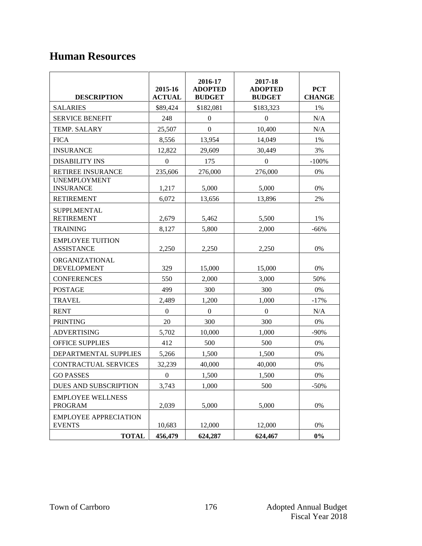### **Human Resources**

| <b>DESCRIPTION</b>                                            | 2015-16<br><b>ACTUAL</b> | 2016-17<br><b>ADOPTED</b><br><b>BUDGET</b> | 2017-18<br><b>ADOPTED</b><br><b>BUDGET</b> | <b>PCT</b><br><b>CHANGE</b> |
|---------------------------------------------------------------|--------------------------|--------------------------------------------|--------------------------------------------|-----------------------------|
| <b>SALARIES</b>                                               | \$89,424                 | \$182,081                                  | \$183,323                                  | 1%                          |
| <b>SERVICE BENEFIT</b>                                        | 248                      | $\mathbf{0}$                               | $\overline{0}$                             | N/A                         |
| TEMP. SALARY                                                  | 25,507                   | $\mathbf{0}$                               | 10,400                                     | N/A                         |
| <b>FICA</b>                                                   | 8,556                    | 13,954                                     | 14,049                                     | 1%                          |
| <b>INSURANCE</b>                                              | 12,822                   | 29,609                                     | 30,449                                     | 3%                          |
| <b>DISABILITY INS</b>                                         | $\boldsymbol{0}$         | 175                                        | $\overline{0}$                             | $-100%$                     |
| RETIREE INSURANCE                                             | 235,606                  | 276,000                                    | 276,000                                    | 0%                          |
| <b>UNEMPLOYMENT</b><br><b>INSURANCE</b>                       | 1,217                    | 5,000                                      | 5,000                                      | 0%                          |
| <b>RETIREMENT</b>                                             | 6.072                    | 13,656                                     | 13,896                                     | 2%                          |
| <b>SUPPLMENTAL</b><br><b>RETIREMENT</b>                       | 2,679                    | 5.462                                      | 5,500                                      | 1%                          |
| <b>TRAINING</b>                                               | 8.127                    | 5,800                                      | 2,000                                      | $-66%$                      |
| <b>EMPLOYEE TUITION</b><br><b>ASSISTANCE</b>                  | 2,250                    | 2,250                                      | 2,250                                      | 0%                          |
| ORGANIZATIONAL<br><b>DEVELOPMENT</b>                          | 329                      | 15,000                                     | 15,000                                     | 0%                          |
| <b>CONFERENCES</b>                                            | 550                      | 2.000                                      | 3,000                                      | 50%                         |
| <b>POSTAGE</b>                                                | 499                      | 300                                        | 300                                        | 0%                          |
| <b>TRAVEL</b>                                                 | 2,489                    | 1,200                                      | 1,000                                      | $-17%$                      |
| <b>RENT</b>                                                   | $\Omega$                 | $\mathbf{0}$                               | $\mathbf{0}$                               | N/A                         |
| <b>PRINTING</b>                                               | 20                       | 300                                        | 300                                        | $0\%$                       |
| <b>ADVERTISING</b>                                            | 5,702                    | 10,000                                     | 1,000                                      | $-90\%$                     |
| <b>OFFICE SUPPLIES</b>                                        | 412                      | 500                                        | 500                                        | $0\%$                       |
| DEPARTMENTAL SUPPLIES                                         | 5,266                    | 1,500                                      | 1,500                                      | 0%                          |
| CONTRACTUAL SERVICES                                          | 32,239                   | 40,000                                     | 40,000                                     | 0%                          |
| <b>GO PASSES</b>                                              | $\boldsymbol{0}$         | 1,500                                      | 1,500                                      | 0%                          |
| DUES AND SUBSCRIPTION                                         | 3,743                    | 1,000                                      | 500                                        | $-50%$                      |
| <b>EMPLOYEE WELLNESS</b><br><b>PROGRAM</b>                    | 2,039                    | 5,000                                      | 5,000                                      | 0%                          |
| <b>EMPLOYEE APPRECIATION</b><br><b>EVENTS</b><br><b>TOTAL</b> | 10,683<br>456,479        | 12,000<br>624,287                          | 12,000<br>624,467                          | 0%<br>$0\%$                 |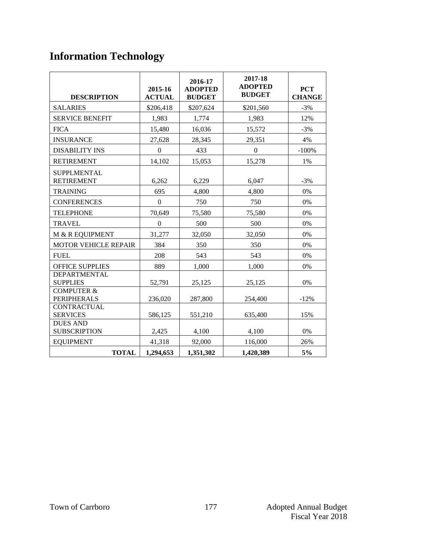# **Information Technology**

| <b>DESCRIPTION</b>                          | 2015-16<br><b>ACTUAL</b> | 2016-17<br><b>ADOPTED</b><br><b>BUDGET</b> | 2017-18<br><b>ADOPTED</b><br><b>BUDGET</b> | <b>PCT</b><br><b>CHANGE</b> |
|---------------------------------------------|--------------------------|--------------------------------------------|--------------------------------------------|-----------------------------|
| <b>SALARIES</b>                             | \$206,418                | \$207,624                                  | \$201,560                                  | $-3%$                       |
| <b>SERVICE BENEFIT</b>                      | 1,983                    | 1,774                                      | 1,983                                      | 12%                         |
| <b>FICA</b>                                 | 15,480                   | 16,036                                     | 15,572                                     | $-3%$                       |
| <b>INSURANCE</b>                            | 27,628                   | 28,345                                     | 29,351                                     | 4%                          |
| <b>DISABILITY INS</b>                       | $\Omega$                 | 433                                        | $\Omega$                                   | $-100%$                     |
| <b>RETIREMENT</b>                           | 14,102                   | 15,053                                     | 15,278                                     | 1%                          |
| <b>SUPPLMENTAL</b><br><b>RETIREMENT</b>     | 6,262                    | 6,229                                      | 6,047                                      | $-3%$                       |
| <b>TRAINING</b>                             | 695                      | 4,800                                      | 4,800                                      | 0%                          |
| <b>CONFERENCES</b>                          | $\Omega$                 | 750                                        | 750                                        | 0%                          |
| <b>TELEPHONE</b>                            | 70,649                   | 75,580                                     | 75,580                                     | 0%                          |
| <b>TRAVEL</b>                               | $\Omega$                 | 500                                        | 500                                        | 0%                          |
| M & R EQUIPMENT                             | 31,277                   | 32,050                                     | 32,050                                     | 0%                          |
| <b>MOTOR VEHICLE REPAIR</b>                 | 384                      | 350                                        | 350                                        | $0\%$                       |
| <b>FUEL</b>                                 | 208                      | 543                                        | 543                                        | 0%                          |
| <b>OFFICE SUPPLIES</b>                      | 889                      | 1,000                                      | 1.000                                      | 0%                          |
| <b>DEPARTMENTAL</b><br><b>SUPPLIES</b>      | 52,791                   | 25,125                                     | 25,125                                     | 0%                          |
| <b>COMPUTER &amp;</b><br><b>PERIPHERALS</b> | 236,020                  | 287,800                                    | 254,400                                    | $-12%$                      |
| <b>CONTRACTUAL</b><br><b>SERVICES</b>       | 586,125                  | 551,210                                    | 635,400                                    | 15%                         |
| <b>DUES AND</b><br><b>SUBSCRIPTION</b>      | 2,425                    | 4,100                                      | 4,100                                      | $0\%$                       |
| <b>EQUIPMENT</b>                            | 41,318                   | 92,000                                     | 116,000                                    | 26%                         |
| <b>TOTAL</b>                                | 1,294,653                | 1,351,302                                  | 1,420,389                                  | 5%                          |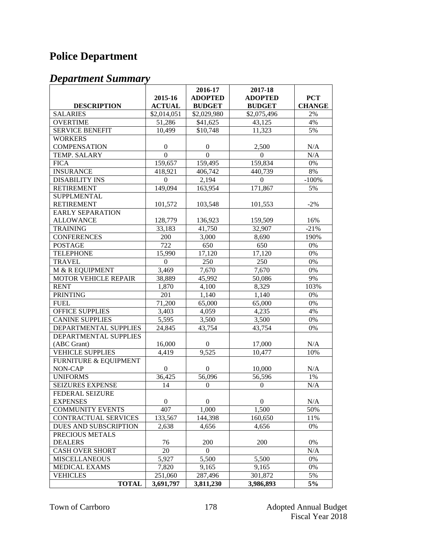# **Police Department**

|                             |                  | 2016-17            | 2017-18          |               |
|-----------------------------|------------------|--------------------|------------------|---------------|
|                             | 2015-16          | <b>ADOPTED</b>     | <b>ADOPTED</b>   | <b>PCT</b>    |
| <b>DESCRIPTION</b>          | <b>ACTUAL</b>    | <b>BUDGET</b>      | <b>BUDGET</b>    | <b>CHANGE</b> |
| <b>SALARIES</b>             | \$2,014,051      | \$2,029,980        | \$2,075,496      | 2%            |
| <b>OVERTIME</b>             | 51,286           | \$41,625           | 43,125           | 4%            |
| <b>SERVICE BENEFIT</b>      | 10,499           | \$10,748           | 11,323           | 5%            |
| <b>WORKERS</b>              |                  |                    |                  |               |
| <b>COMPENSATION</b>         | $\boldsymbol{0}$ | $\boldsymbol{0}$   | 2,500            | N/A           |
| TEMP. SALARY                | $\overline{0}$   | $\overline{0}$     | $\overline{0}$   | N/A           |
| <b>FICA</b>                 | 159,657          | 159,495            | 159,834          | 0%            |
| <b>INSURANCE</b>            | 418,921          | 406,742            | 440,739          | 8%            |
| <b>DISABILITY INS</b>       | $\Omega$         | $\overline{2,194}$ | $\boldsymbol{0}$ | $-100%$       |
| <b>RETIREMENT</b>           | 149,094          | 163,954            | 171,867          | 5%            |
| <b>SUPPLMENTAL</b>          |                  |                    |                  |               |
| <b>RETIREMENT</b>           | 101,572          | 103,548            | 101,553          | $-2%$         |
| <b>EARLY SEPARATION</b>     |                  |                    |                  |               |
| <b>ALLOWANCE</b>            | 128,779          | 136,923            | 159,509          | 16%           |
| <b>TRAINING</b>             | 33,183           | 41,750             | 32,907           | $-21%$        |
| <b>CONFERENCES</b>          | 200              | 3,000              | 8,690            | 190%          |
| <b>POSTAGE</b>              | 722              | 650                | 650              | $0\%$         |
| <b>TELEPHONE</b>            | 15,990           | 17,120             | 17,120           | 0%            |
| <b>TRAVEL</b>               | $\mathbf{0}$     | 250                | 250              | 0%            |
| M & R EQUIPMENT             | 3,469            | 7,670              | 7,670            | 0%            |
| <b>MOTOR VEHICLE REPAIR</b> | 38,889           | 45,992             | 50,086           | 9%            |
| <b>RENT</b>                 | 1,870            | 4,100              | 8,329            | 103%          |
| <b>PRINTING</b>             | 201              | 1,140              | 1,140            | 0%            |
| <b>FUEL</b>                 | 71,200           | 65,000             | 65,000           | 0%            |
| <b>OFFICE SUPPLIES</b>      | 3,403            | 4,059              | 4,235            | 4%            |
| <b>CANINE SUPPLIES</b>      | 5,595            | 3,500              | 3,500            | 0%            |
| DEPARTMENTAL SUPPLIES       | 24,845           | 43,754             | 43,754           | 0%            |
| DEPARTMENTAL SUPPLIES       |                  |                    |                  |               |
| (ABC Grant)                 | 16,000           | $\overline{0}$     | 17,000           | N/A           |
| <b>VEHICLE SUPPLIES</b>     | 4,419            | 9,525              | 10,477           | 10%           |
| FURNITURE & EQUIPMENT       |                  |                    |                  |               |
| NON-CAP                     | $\mathbf{0}$     | $\mathbf{0}$       | 10,000           | N/A           |
| <b>UNIFORMS</b>             | 36,425           | 56,096             | 56,596           | 1%            |
| <b>SEIZURES EXPENSE</b>     | 14               | $\boldsymbol{0}$   | $\boldsymbol{0}$ | N/A           |
| <b>FEDERAL SEIZURE</b>      |                  |                    |                  |               |
| <b>EXPENSES</b>             | 0                | $\mathbf{0}$       | 0                | N/A           |
| <b>COMMUNITY EVENTS</b>     | 407              | 1,000              | 1,500            | 50%           |
| CONTRACTUAL SERVICES        | 133,567          | 144,398            | 160,650          | 11%           |
| DUES AND SUBSCRIPTION       | 2,638            | 4,656              | 4,656            | 0%            |
| PRECIOUS METALS             |                  |                    |                  |               |
| <b>DEALERS</b>              | 76               | 200                | 200              | 0%            |
| <b>CASH OVER SHORT</b>      | 20               | $\theta$           |                  | N/A           |
| <b>MISCELLANEOUS</b>        | 5,927            | 5,500              | 5,500            | 0%            |
| <b>MEDICAL EXAMS</b>        | 7,820            | 9,165              | 9,165            | 0%            |
| <b>VEHICLES</b>             | 251,060          | 287,496            | 301,872          | 5%            |
| <b>TOTAL</b>                | 3,691,797        | 3,811,230          | 3,986,893        | 5%            |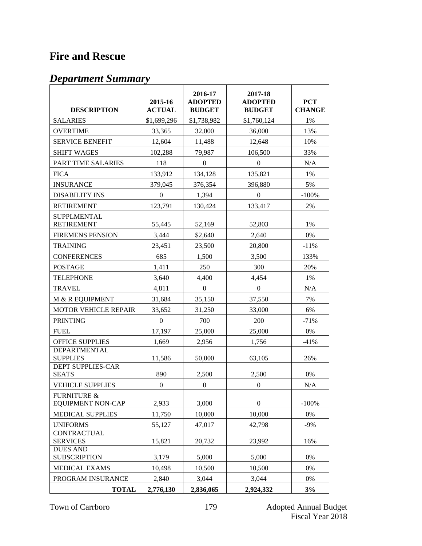### **Fire and Rescue**

| <b>DESCRIPTION</b>                                 | 2015-16<br><b>ACTUAL</b> | 2016-17<br><b>ADOPTED</b><br><b>BUDGET</b> | 2017-18<br><b>ADOPTED</b><br><b>BUDGET</b> | <b>PCT</b><br><b>CHANGE</b> |
|----------------------------------------------------|--------------------------|--------------------------------------------|--------------------------------------------|-----------------------------|
| <b>SALARIES</b>                                    | \$1,699,296              | \$1,738,982                                | \$1,760,124                                | 1%                          |
| <b>OVERTIME</b>                                    | 33,365                   | 32,000                                     | 36,000                                     | 13%                         |
| <b>SERVICE BENEFIT</b>                             | 12,604                   | 11,488                                     | 12,648                                     | 10%                         |
| <b>SHIFT WAGES</b>                                 | 102,288                  | 79,987                                     | 106,500                                    | 33%                         |
| PART TIME SALARIES                                 | 118                      | 0                                          | $\theta$                                   | N/A                         |
| <b>FICA</b>                                        | 133,912                  | 134,128                                    | 135,821                                    | 1%                          |
| <b>INSURANCE</b>                                   | 379,045                  | 376,354                                    | 396,880                                    | 5%                          |
| <b>DISABILITY INS</b>                              | $\overline{0}$           | 1,394                                      | $\mathbf{0}$                               | $-100%$                     |
| <b>RETIREMENT</b>                                  | 123,791                  | 130,424                                    | 133,417                                    | 2%                          |
| <b>SUPPLMENTAL</b><br><b>RETIREMENT</b>            | 55,445                   | 52,169                                     | 52,803                                     | 1%                          |
| <b>FIREMENS PENSION</b>                            | 3,444                    | \$2,640                                    | 2,640                                      | 0%                          |
| <b>TRAINING</b>                                    | 23,451                   | 23,500                                     | 20,800                                     | $-11%$                      |
| <b>CONFERENCES</b>                                 | 685                      | 1,500                                      | 3,500                                      | 133%                        |
| <b>POSTAGE</b>                                     | 1,411                    | 250                                        | 300                                        | 20%                         |
| <b>TELEPHONE</b>                                   | 3,640                    | 4,400                                      | 4,454                                      | 1%                          |
| <b>TRAVEL</b>                                      | 4,811                    | $\overline{0}$                             | $\boldsymbol{0}$                           | N/A                         |
| M & R EQUIPMENT                                    | 31,684                   | 35,150                                     | 37,550                                     | 7%                          |
| <b>MOTOR VEHICLE REPAIR</b>                        | 33,652                   | 31,250                                     | 33,000                                     | 6%                          |
| <b>PRINTING</b>                                    | $\overline{0}$           | 700                                        | 200                                        | $-71%$                      |
| <b>FUEL</b>                                        | 17,197                   | 25,000                                     | 25,000                                     | 0%                          |
| <b>OFFICE SUPPLIES</b>                             | 1,669                    | 2,956                                      | 1,756                                      | $-41%$                      |
| <b>DEPARTMENTAL</b><br><b>SUPPLIES</b>             | 11,586                   | 50,000                                     | 63,105                                     | 26%                         |
| <b>DEPT SUPPLIES-CAR</b><br><b>SEATS</b>           | 890                      | 2,500                                      | 2,500                                      | 0%                          |
| <b>VEHICLE SUPPLIES</b>                            | $\boldsymbol{0}$         | $\boldsymbol{0}$                           | $\boldsymbol{0}$                           | N/A                         |
| <b>FURNITURE &amp;</b><br><b>EQUIPMENT NON-CAP</b> | 2,933                    | 3,000                                      | $\boldsymbol{0}$                           | $-100%$                     |
| <b>MEDICAL SUPPLIES</b>                            | 11,750                   | 10,000                                     | 10,000                                     | 0%                          |
| <b>UNIFORMS</b>                                    | 55,127                   | 47,017                                     | 42,798                                     | $-9%$                       |
| <b>CONTRACTUAL</b><br><b>SERVICES</b>              | 15,821                   | 20,732                                     | 23,992                                     | 16%                         |
| <b>DUES AND</b><br><b>SUBSCRIPTION</b>             | 3,179                    | 5,000                                      | 5,000                                      | 0%                          |
| <b>MEDICAL EXAMS</b>                               | 10,498                   | 10,500                                     | 10,500                                     | 0%                          |
| PROGRAM INSURANCE                                  | 2,840                    | 3,044                                      | 3,044                                      | 0%                          |
| <b>TOTAL</b>                                       | 2,776,130                | 2,836,065                                  | 2,924,332                                  | 3%                          |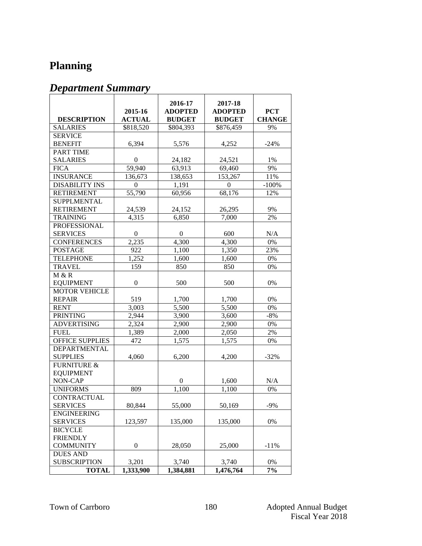### **Planning**

|                                       | 2015-16          | 2016-17<br><b>ADOPTED</b> | 2017-18<br><b>ADOPTED</b> | <b>PCT</b>    |
|---------------------------------------|------------------|---------------------------|---------------------------|---------------|
| <b>DESCRIPTION</b>                    | <b>ACTUAL</b>    | <b>BUDGET</b>             | <b>BUDGET</b>             | <b>CHANGE</b> |
| <b>SALARIES</b>                       | \$818,520        | \$804,393                 | \$876,459                 | 9%            |
| <b>SERVICE</b>                        |                  |                           |                           |               |
| <b>BENEFIT</b>                        | 6,394            | 5,576                     | 4,252                     | $-24%$        |
| <b>PART TIME</b>                      |                  |                           |                           |               |
| <b>SALARIES</b>                       | $\boldsymbol{0}$ | 24,182                    | 24,521                    | 1%            |
| <b>FICA</b>                           | 59,940           | 63,913                    | 69,460                    | 9%            |
| <b>INSURANCE</b>                      | 136,673          | 138,653                   | 153,267                   | 11%           |
| <b>DISABILITY INS</b>                 | $\Omega$         | 1,191                     | 0                         | $-100%$       |
| <b>RETIREMENT</b>                     | 55,790           | 60,956                    | 68,176                    | 12%           |
| <b>SUPPLMENTAL</b>                    |                  |                           |                           |               |
| <b>RETIREMENT</b>                     | 24,539           | 24,152                    | 26,295                    | 9%            |
| <b>TRAINING</b>                       | 4,315            | 6,850                     | 7,000                     | 2%            |
| <b>PROFESSIONAL</b>                   |                  |                           |                           |               |
| <b>SERVICES</b>                       | $\overline{0}$   | $\boldsymbol{0}$          | 600                       | N/A           |
| <b>CONFERENCES</b>                    | 2,235            | 4,300                     | 4,300                     | 0%            |
| <b>POSTAGE</b>                        | 922              | 1,100                     | 1,350                     | 23%           |
| <b>TELEPHONE</b>                      | 1,252            | 1,600                     | 1,600                     | 0%            |
| <b>TRAVEL</b>                         | 159              | 850                       | 850                       | 0%            |
| M & R                                 |                  |                           |                           |               |
| <b>EQUIPMENT</b>                      | $\boldsymbol{0}$ | 500                       | 500                       | 0%            |
| <b>MOTOR VEHICLE</b>                  |                  |                           |                           |               |
| <b>REPAIR</b>                         | 519              | 1,700                     | 1,700                     | 0%            |
| <b>RENT</b>                           | 3,003            | 5,500                     | 5,500                     | 0%            |
| <b>PRINTING</b>                       | 2,944            | 3,900                     | 3,600                     | $-8%$         |
| <b>ADVERTISING</b>                    | 2,324            | 2,900                     | 2,900                     | 0%            |
| <b>FUEL</b>                           | 1,389            | 2,000                     | 2,050                     | 2%            |
| <b>OFFICE SUPPLIES</b>                | 472              | 1,575                     | 1,575                     | 0%            |
| <b>DEPARTMENTAL</b>                   |                  |                           |                           |               |
| <b>SUPPLIES</b>                       | 4,060            | 6,200                     | 4,200                     | $-32%$        |
| <b>FURNITURE &amp;</b>                |                  |                           |                           |               |
| <b>EQUIPMENT</b>                      |                  |                           |                           |               |
| NON-CAP                               |                  | $\Omega$                  | 1,600                     | N/A           |
| <b>UNIFORMS</b>                       | 809              | 1,100                     | 1,100                     | 0%            |
| <b>CONTRACTUAL</b>                    |                  |                           |                           |               |
| <b>SERVICES</b>                       | 80,844           | 55,000                    | 50,169                    | $-9%$         |
| <b>ENGINEERING</b><br><b>SERVICES</b> | 123,597          | 135,000                   | 135,000                   | 0%            |
| <b>BICYCLE</b>                        |                  |                           |                           |               |
| <b>FRIENDLY</b>                       |                  |                           |                           |               |
| <b>COMMUNITY</b>                      | $\boldsymbol{0}$ | 28,050                    | 25,000                    | $-11%$        |
| <b>DUES AND</b>                       |                  |                           |                           |               |
| <b>SUBSCRIPTION</b>                   | 3,201            | 3,740                     | 3,740                     | 0%            |
| <b>TOTAL</b>                          | 1,333,900        | 1,384,881                 | 1,476,764                 | 7%            |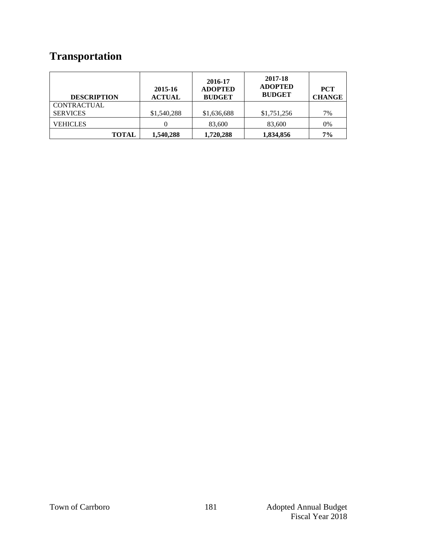# **Transportation**

| <b>DESCRIPTION</b> | 2015-16<br><b>ACTUAL</b> | 2016-17<br><b>ADOPTED</b><br><b>BUDGET</b> | 2017-18<br><b>ADOPTED</b><br><b>BUDGET</b> | <b>PCT</b><br><b>CHANGE</b> |
|--------------------|--------------------------|--------------------------------------------|--------------------------------------------|-----------------------------|
| <b>CONTRACTUAL</b> |                          |                                            |                                            |                             |
| <b>SERVICES</b>    | \$1,540,288              | \$1,636,688                                | \$1,751,256                                | 7%                          |
| VEHICLES           |                          | 83,600                                     | 83,600                                     | 0%                          |
| <b>TOTAL</b>       | 1,540,288                | 1,720,288                                  | 1,834,856                                  | 7%                          |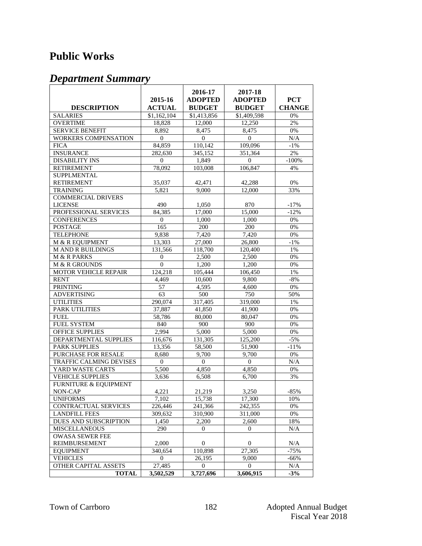### **Public Works**

|                                  | 2015-16          | 2016-17<br><b>ADOPTED</b> | 2017-18<br><b>ADOPTED</b> | <b>PCT</b>    |
|----------------------------------|------------------|---------------------------|---------------------------|---------------|
| <b>DESCRIPTION</b>               | <b>ACTUAL</b>    | <b>BUDGET</b>             | <b>BUDGET</b>             | <b>CHANGE</b> |
| <b>SALARIES</b>                  | \$1,162,104      | \$1,413,856               | \$1,409,598               | 0%            |
| <b>OVERTIME</b>                  | 18.828           | 12,000                    | 12,250                    | 2%            |
| <b>SERVICE BENEFIT</b>           | 8,892            | 8,475                     | 8,475                     | 0%            |
| <b>WORKERS COMPENSATION</b>      | $\mathbf{0}$     | 0                         | $\theta$                  | N/A           |
| <b>FICA</b>                      | 84,859           | 110,142                   | 109,096                   | $-1\%$        |
| <b>INSURANCE</b>                 | 282,630          | 345,152                   | 351,364                   | 2%            |
| <b>DISABILITY INS</b>            | $\mathbf{0}$     | 1,849                     | $\mathbf{0}$              | $-100%$       |
| <b>RETIREMENT</b>                | 78,092           | 103,008                   | 106,847                   | 4%            |
| SUPPLMENTAL                      |                  |                           |                           |               |
| <b>RETIREMENT</b>                | 35,037           | 42,471                    | 42,288                    | $0\%$         |
| <b>TRAINING</b>                  | 5,821            | 9,000                     | 12,000                    | 33%           |
| <b>COMMERCIAL DRIVERS</b>        |                  |                           |                           |               |
| <b>LICENSE</b>                   | 490              | 1,050                     | 870                       | $-17%$        |
| PROFESSIONAL SERVICES            | 84,385           | 17,000                    | 15,000                    | $-12%$        |
| <b>CONFERENCES</b>               | $\theta$         | 1,000                     | 1,000                     | $0\%$         |
| <b>POSTAGE</b>                   | 165              | 200                       | 200                       | 0%            |
| <b>TELEPHONE</b>                 | 9.838            | 7,420                     | 7,420                     | 0%            |
| M & R EQUIPMENT                  | 13,303           | 27,000                    | 26,800                    | $-1\%$        |
| <b>M AND R BUILDINGS</b>         | 131,566          | 118,700                   | 120,400                   | 1%            |
| M & R PARKS                      | $\overline{0}$   | 2,500                     | 2,500                     | 0%            |
| M & R GROUNDS                    | $\boldsymbol{0}$ | 1,200                     | 1,200                     | 0%            |
| MOTOR VEHICLE REPAIR             | 124,218          | 105,444                   | 106,450                   | 1%            |
| <b>RENT</b>                      | 4,469            | 10,600                    | 9,800                     | $-8%$         |
| <b>PRINTING</b>                  | 57               | 4,595                     | 4,600                     | $0\%$         |
| <b>ADVERTISING</b>               | 63               | 500                       | 750                       | 50%           |
| <b>UTILITIES</b>                 | 290,074          | 317,405                   | 319,000                   | 1%            |
| PARK UTILITIES                   | 37,887           | 41,850                    | 41,900                    | 0%            |
| <b>FUEL</b>                      | 58,786           | 80,000                    | 80,047                    | 0%            |
| <b>FUEL SYSTEM</b>               | 840              | 900                       | 900                       | 0%            |
| OFFICE SUPPLIES                  | 2.994            | 5,000                     | 5,000                     | $0\%$         |
| DEPARTMENTAL SUPPLIES            | 116,676          | 131,305                   | 125,200                   | $-5%$         |
| PARK SUPPLIES                    | 13,356           | 58,500                    | 51,900                    | $-11%$        |
| PURCHASE FOR RESALE              | 8,680            | 9,700                     | 9,700                     | 0%            |
| TRAFFIC CALMING DEVISES          | $\theta$         | $\mathbf{0}$              | $\mathbf{0}$              | N/A           |
| YARD WASTE CARTS                 | 5,500            | 4,850                     | 4,850                     | 0%            |
| <b>VEHICLE SUPPLIES</b>          | 3,636            | 6,508                     | 6,700                     | 3%            |
| <b>FURNITURE &amp; EQUIPMENT</b> |                  |                           |                           |               |
| NON-CAP                          | 4,221            | 21,219                    | 3,250                     | $-85%$        |
| <b>UNIFORMS</b>                  | 7,102            | 15,738                    | 17,300                    | 10%           |
| CONTRACTUAL SERVICES             | 226,446          | 241,366                   | 242,355                   | 0%            |
| <b>LANDFILL FEES</b>             | 309,632          | 310,900                   | 311,000                   | 0%            |
| DUES AND SUBSCRIPTION            | 1,450            | 2,200                     | 2,600                     | 18%           |
| <b>MISCELLANEOUS</b>             | 290              | $\overline{0}$            | $\mathbf{0}$              | N/A           |
| <b>OWASA SEWER FEE</b>           |                  |                           |                           |               |
| <b>REIMBURSEMENT</b>             | 2,000            | $\overline{0}$            | 0                         | N/A           |
| <b>EOUIPMENT</b>                 | 340,654          | 110,898                   | 27,305                    | -75%          |
| <b>VEHICLES</b>                  | $\Omega$         | 26,195                    | 9,000                     | $-66%$        |
| OTHER CAPITAL ASSETS             | 27,485           | $\overline{0}$            | $\overline{0}$            | N/A           |
| <b>TOTAL</b>                     | 3,502,529        | 3,727,696                 | 3,606,915                 | $-3%$         |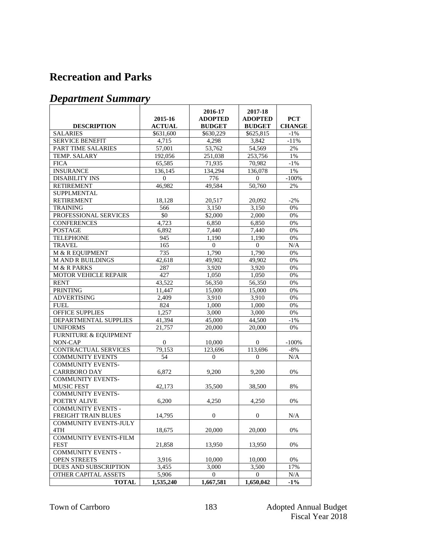#### **Recreation and Parks**

|                                  |               | 2016-17          | 2017-18          |               |
|----------------------------------|---------------|------------------|------------------|---------------|
|                                  | 2015-16       | <b>ADOPTED</b>   | <b>ADOPTED</b>   | <b>PCT</b>    |
| <b>DESCRIPTION</b>               | <b>ACTUAL</b> | <b>BUDGET</b>    | <b>BUDGET</b>    | <b>CHANGE</b> |
| <b>SALARIES</b>                  | \$631,600     | \$630,229        | \$625,815        | $-1\%$        |
| <b>SERVICE BENEFIT</b>           | 4,715         | 4,298            | 3,842            | $-11%$        |
| PART TIME SALARIES               | 57,001        | 53,762           | 54,569           | 2%            |
| TEMP. SALARY                     | 192,056       | 251,038          | 253,756          | 1%            |
| <b>FICA</b>                      | 65,585        | 71,935           | 70,982           | $-1\%$        |
| <b>INSURANCE</b>                 | 136,145       | 134,294          | 136,078          | 1%            |
| <b>DISABILITY INS</b>            | $\mathbf{0}$  | 776              | $\Omega$         | $-100%$       |
| <b>RETIREMENT</b>                | 46,982        | 49,584           | 50,760           | 2%            |
| <b>SUPPLMENTAL</b>               |               |                  |                  |               |
| <b>RETIREMENT</b>                | 18,128        | 20,517           | 20,092           | $-2%$         |
| <b>TRAINING</b>                  | 566           | 3,150            | 3,150            | 0%            |
| PROFESSIONAL SERVICES            | \$0           | \$2,000          | 2,000            | 0%            |
| <b>CONFERENCES</b>               | 4,723         | 6,850            | 6,850            | 0%            |
| <b>POSTAGE</b>                   | 6,892         | 7,440            | 7,440            | 0%            |
| <b>TELEPHONE</b>                 | 945           | 1,190            | 1,190            | 0%            |
| <b>TRAVEL</b>                    | 165           | $\Omega$         | $\Omega$         | N/A           |
| M & R EQUIPMENT                  | 735           | 1,790            | 1,790            | 0%            |
| <b>M AND R BUILDINGS</b>         | 42,618        | 49,902           | 49,902           | 0%            |
| M & R PARKS                      | 287           | 3,920            | 3,920            | 0%            |
| <b>MOTOR VEHICLE REPAIR</b>      | 427           | 1,050            | 1,050            | 0%            |
| <b>RENT</b>                      | 43,522        | 56,350           | 56,350           | 0%            |
| <b>PRINTING</b>                  | 11,447        | 15,000           | 15,000           | 0%            |
| <b>ADVERTISING</b>               | 2.409         | 3,910            | 3,910            | 0%            |
| <b>FUEL</b>                      | 824           | 1,000            | 1,000            | 0%            |
| OFFICE SUPPLIES                  | 1,257         | 3,000            | 3,000            | 0%            |
| DEPARTMENTAL SUPPLIES            | 41,394        | 45,000           | 44,500           | $-1\%$        |
| <b>UNIFORMS</b>                  | 21,757        | 20,000           | 20,000           | 0%            |
| <b>FURNITURE &amp; EQUIPMENT</b> |               |                  |                  |               |
| NON-CAP                          | $\mathbf{0}$  | 10,000           | $\mathbf{0}$     | $-100%$       |
| CONTRACTUAL SERVICES             | 79,153        | 123,696          | 113,696          | $-8%$         |
| <b>COMMUNITY EVENTS</b>          | 54            | $\mathbf{0}$     | $\overline{0}$   | N/A           |
| <b>COMMUNITY EVENTS-</b>         |               |                  |                  |               |
| <b>CARRBORO DAY</b>              | 6,872         | 9,200            | 9,200            | 0%            |
| <b>COMMUNITY EVENTS-</b>         |               |                  |                  |               |
| <b>MUSIC FEST</b>                | 42,173        | 35,500           | 38,500           | 8%            |
| <b>COMMUNITY EVENTS-</b>         |               |                  |                  |               |
| POETRY ALIVE                     | 6,200         | 4,250            | 4,250            | 0%            |
| <b>COMMUNITY EVENTS -</b>        |               |                  |                  |               |
| FREIGHT TRAIN BLUES              | 14,795        | $\boldsymbol{0}$ | $\boldsymbol{0}$ | N/A           |
| <b>COMMUNITY EVENTS-JULY</b>     |               |                  |                  |               |
| 4TH                              | 18,675        | 20,000           | 20,000           | 0%            |
| <b>COMMUNITY EVENTS-FILM</b>     |               |                  |                  |               |
| <b>FEST</b>                      | 21,858        | 13,950           | 13,950           | 0%            |
| <b>COMMUNITY EVENTS -</b>        |               |                  |                  |               |
| <b>OPEN STREETS</b>              | 3,916         | 10,000           | 10,000           | 0%            |
| DUES AND SUBSCRIPTION            | 3,455         | 3,000            | 3,500            | 17%           |
| <b>OTHER CAPITAL ASSETS</b>      | 5,906         | $\boldsymbol{0}$ | $\mathbf{0}$     | N/A           |
| <b>TOTAL</b>                     | 1,535,240     | 1,667,581        | 1,650,042        | $-1%$         |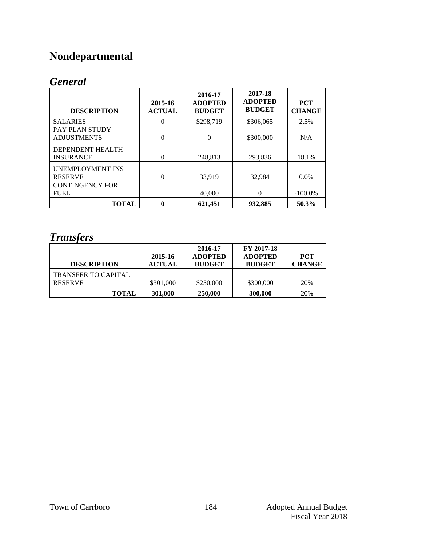# **Nondepartmental**

### *General*

| <b>DESCRIPTION</b>                          | 2015-16<br><b>ACTUAL</b> | 2016-17<br><b>ADOPTED</b><br><b>BUDGET</b> | 2017-18<br><b>ADOPTED</b><br><b>BUDGET</b> | <b>PCT</b><br><b>CHANGE</b> |
|---------------------------------------------|--------------------------|--------------------------------------------|--------------------------------------------|-----------------------------|
| <b>SALARIES</b>                             | 0                        | \$298,719                                  | \$306,065                                  | 2.5%                        |
| <b>PAY PLAN STUDY</b><br><b>ADJUSTMENTS</b> | $\theta$                 | 0                                          | \$300,000                                  | N/A                         |
| DEPENDENT HEALTH<br><b>INSURANCE</b>        | $\theta$                 | 248,813                                    | 293,836                                    | 18.1%                       |
| <b>UNEMPLOYMENT INS</b><br><b>RESERVE</b>   | $\theta$                 | 33.919                                     | 32,984                                     | $0.0\%$                     |
| <b>CONTINGENCY FOR</b><br><b>FUEL</b>       |                          | 40,000                                     | $\theta$                                   | $-100.0\%$                  |
| <b>TOTAL</b>                                | 0                        | 621.451                                    | 932.885                                    | 50.3%                       |

#### *Transfers*

| <b>DESCRIPTION</b>                           | 2015-16<br><b>ACTUAL</b> | 2016-17<br><b>ADOPTED</b><br><b>BUDGET</b> | FY 2017-18<br><b>ADOPTED</b><br><b>BUDGET</b> | <b>PCT</b><br><b>CHANGE</b> |
|----------------------------------------------|--------------------------|--------------------------------------------|-----------------------------------------------|-----------------------------|
| <b>TRANSFER TO CAPITAL</b><br><b>RESERVE</b> | \$301,000                | \$250,000                                  | \$300,000                                     | 20%                         |
| <b>TOTAL</b>                                 | 301,000                  | 250,000                                    | 300,000                                       | 20%                         |